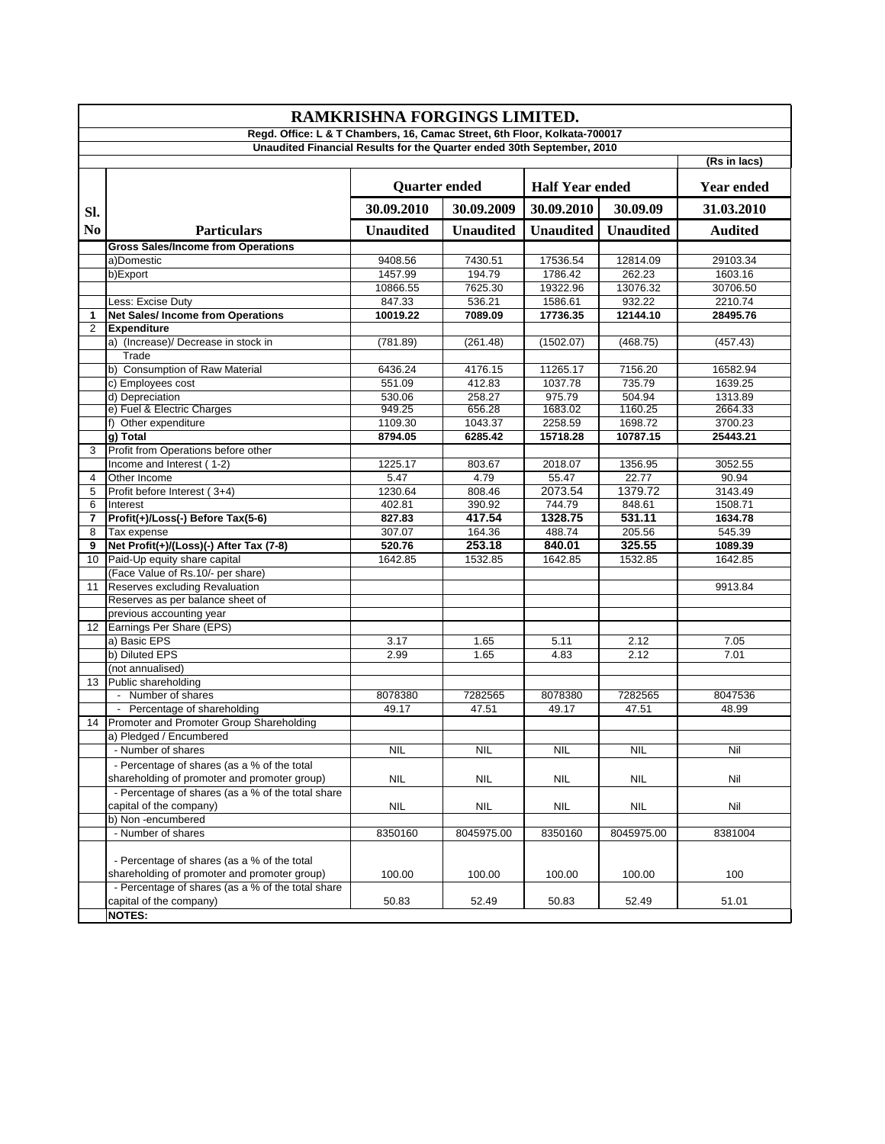| RAMKRISHNA FORGINGS LIMITED.<br>Regd. Office: L & T Chambers, 16, Camac Street, 6th Floor, Kolkata-700017 |                                                                                             |                      |                  |                        |                  |                   |  |  |
|-----------------------------------------------------------------------------------------------------------|---------------------------------------------------------------------------------------------|----------------------|------------------|------------------------|------------------|-------------------|--|--|
|                                                                                                           |                                                                                             |                      |                  |                        |                  |                   |  |  |
|                                                                                                           |                                                                                             |                      |                  |                        |                  | (Rs in lacs)      |  |  |
|                                                                                                           |                                                                                             | <b>Quarter ended</b> |                  | <b>Half Year ended</b> |                  | <b>Year ended</b> |  |  |
| SI.                                                                                                       |                                                                                             | 30.09.2010           | 30.09.2009       | 30.09.2010             | 30.09.09         | 31.03.2010        |  |  |
| N <sub>0</sub>                                                                                            | <b>Particulars</b>                                                                          | <b>Unaudited</b>     | <b>Unaudited</b> | <b>Unaudited</b>       | <b>Unaudited</b> | <b>Audited</b>    |  |  |
|                                                                                                           | <b>Gross Sales/Income from Operations</b>                                                   |                      |                  |                        |                  |                   |  |  |
|                                                                                                           | a)Domestic                                                                                  | 9408.56              | 7430.51          | 17536.54               | 12814.09         | 29103.34          |  |  |
|                                                                                                           | b)Export                                                                                    | 1457.99              | 194.79           | 1786.42                | 262.23           | 1603.16           |  |  |
|                                                                                                           |                                                                                             | 10866.55             | 7625.30          | 19322.96               | 13076.32         | 30706.50          |  |  |
|                                                                                                           | Less: Excise Duty                                                                           | 847.33               | 536.21           | 1586.61                | 932.22           | 2210.74           |  |  |
| 1                                                                                                         | <b>Net Sales/ Income from Operations</b>                                                    | 10019.22             | 7089.09          | 17736.35               | 12144.10         | 28495.76          |  |  |
| 2                                                                                                         | <b>Expenditure</b>                                                                          |                      |                  |                        |                  |                   |  |  |
|                                                                                                           | a) (Increase)/ Decrease in stock in                                                         | (781.89)             | (261.48)         | (1502.07)              | (468.75)         | (457.43)          |  |  |
|                                                                                                           | Trade                                                                                       |                      |                  |                        |                  |                   |  |  |
|                                                                                                           | b) Consumption of Raw Material                                                              | 6436.24              | 4176.15          | 11265.17               | 7156.20          | 16582.94          |  |  |
|                                                                                                           | c) Employees cost                                                                           | 551.09               | 412.83           | 1037.78                | 735.79           | 1639.25           |  |  |
|                                                                                                           | d) Depreciation                                                                             | 530.06               | 258.27           | 975.79                 | 504.94           | 1313.89           |  |  |
|                                                                                                           | e) Fuel & Electric Charges                                                                  | 949.25               | 656.28           | 1683.02                | 1160.25          | 2664.33           |  |  |
|                                                                                                           | f) Other expenditure                                                                        | 1109.30              | 1043.37          | 2258.59                | 1698.72          | 3700.23           |  |  |
|                                                                                                           | g) Total                                                                                    | 8794.05              | 6285.42          | 15718.28               | 10787.15         | 25443.21          |  |  |
| 3                                                                                                         | Profit from Operations before other                                                         |                      |                  |                        |                  |                   |  |  |
|                                                                                                           | Income and Interest (1-2)                                                                   | 1225.17              | 803.67           | 2018.07                | 1356.95          | 3052.55           |  |  |
| 4                                                                                                         | Other Income                                                                                | 5.47                 | 4.79             | 55.47                  | 22.77            | 90.94             |  |  |
| 5                                                                                                         | Profit before Interest (3+4)                                                                | 1230.64              | 808.46           | 2073.54                | 1379.72          | 3143.49           |  |  |
| 6                                                                                                         | Interest                                                                                    | 402.81               | 390.92           | 744.79                 | 848.61           | 1508.71           |  |  |
| 7                                                                                                         | Profit(+)/Loss(-) Before Tax(5-6)                                                           | 827.83               | 417.54           | 1328.75                | 531.11           | 1634.78           |  |  |
| 8                                                                                                         | Tax expense                                                                                 | 307.07               | 164.36           | 488.74                 | 205.56           | 545.39            |  |  |
| 9                                                                                                         | Net Profit(+)/(Loss)(-) After Tax (7-8)                                                     | 520.76               | 253.18           | 840.01                 | 325.55           | 1089.39           |  |  |
| 10                                                                                                        | Paid-Up equity share capital                                                                | 1642.85              | 1532.85          | 1642.85                | 1532.85          | 1642.85           |  |  |
|                                                                                                           | (Face Value of Rs.10/- per share)                                                           |                      |                  |                        |                  |                   |  |  |
| 11                                                                                                        | Reserves excluding Revaluation                                                              |                      |                  |                        |                  | 9913.84           |  |  |
|                                                                                                           | Reserves as per balance sheet of                                                            |                      |                  |                        |                  |                   |  |  |
|                                                                                                           | previous accounting year                                                                    |                      |                  |                        |                  |                   |  |  |
|                                                                                                           | 12 Earnings Per Share (EPS)                                                                 |                      |                  |                        |                  |                   |  |  |
|                                                                                                           | a) Basic EPS                                                                                | 3.17                 | 1.65             | 5.11                   | 2.12             | 7.05              |  |  |
|                                                                                                           | b) Diluted EPS                                                                              | 2.99                 | 1.65             | 4.83                   | 2.12             | 7.01              |  |  |
|                                                                                                           | (not annualised)                                                                            |                      |                  |                        |                  |                   |  |  |
|                                                                                                           | 13 Public shareholding                                                                      |                      |                  |                        |                  |                   |  |  |
|                                                                                                           | - Number of shares                                                                          | 8078380              | 7282565          | 8078380                | 7282565          | 8047536           |  |  |
|                                                                                                           | - Percentage of shareholding                                                                | 49.17                | 47.51            | 49.17                  | 47.51            | 48.99             |  |  |
|                                                                                                           | 14 Promoter and Promoter Group Shareholding                                                 |                      |                  |                        |                  |                   |  |  |
|                                                                                                           | a) Pledged / Encumbered                                                                     |                      |                  |                        |                  |                   |  |  |
|                                                                                                           | - Number of shares                                                                          | NIL                  | <b>NIL</b>       | <b>NIL</b>             | <b>NIL</b>       | Nil               |  |  |
|                                                                                                           | - Percentage of shares (as a % of the total<br>shareholding of promoter and promoter group) | <b>NIL</b>           | <b>NIL</b>       | <b>NIL</b>             | <b>NIL</b>       | Nil               |  |  |
|                                                                                                           | - Percentage of shares (as a % of the total share                                           |                      |                  |                        |                  |                   |  |  |
|                                                                                                           | capital of the company)                                                                     | NIL                  | <b>NIL</b>       | NIL                    | <b>NIL</b>       | Nil               |  |  |
|                                                                                                           | b) Non -encumbered                                                                          |                      |                  |                        |                  |                   |  |  |
|                                                                                                           | - Number of shares                                                                          | 8350160              | 8045975.00       | 8350160                | 8045975.00       | 8381004           |  |  |
|                                                                                                           |                                                                                             |                      |                  |                        |                  |                   |  |  |
|                                                                                                           | - Percentage of shares (as a % of the total                                                 |                      |                  |                        |                  |                   |  |  |
|                                                                                                           | shareholding of promoter and promoter group)                                                | 100.00               | 100.00           | 100.00                 | 100.00           | 100               |  |  |
|                                                                                                           | - Percentage of shares (as a % of the total share                                           |                      |                  |                        |                  |                   |  |  |
|                                                                                                           | capital of the company)                                                                     | 50.83                | 52.49            | 50.83                  | 52.49            | 51.01             |  |  |
|                                                                                                           | <b>NOTES:</b>                                                                               |                      |                  |                        |                  |                   |  |  |
|                                                                                                           |                                                                                             |                      |                  |                        |                  |                   |  |  |